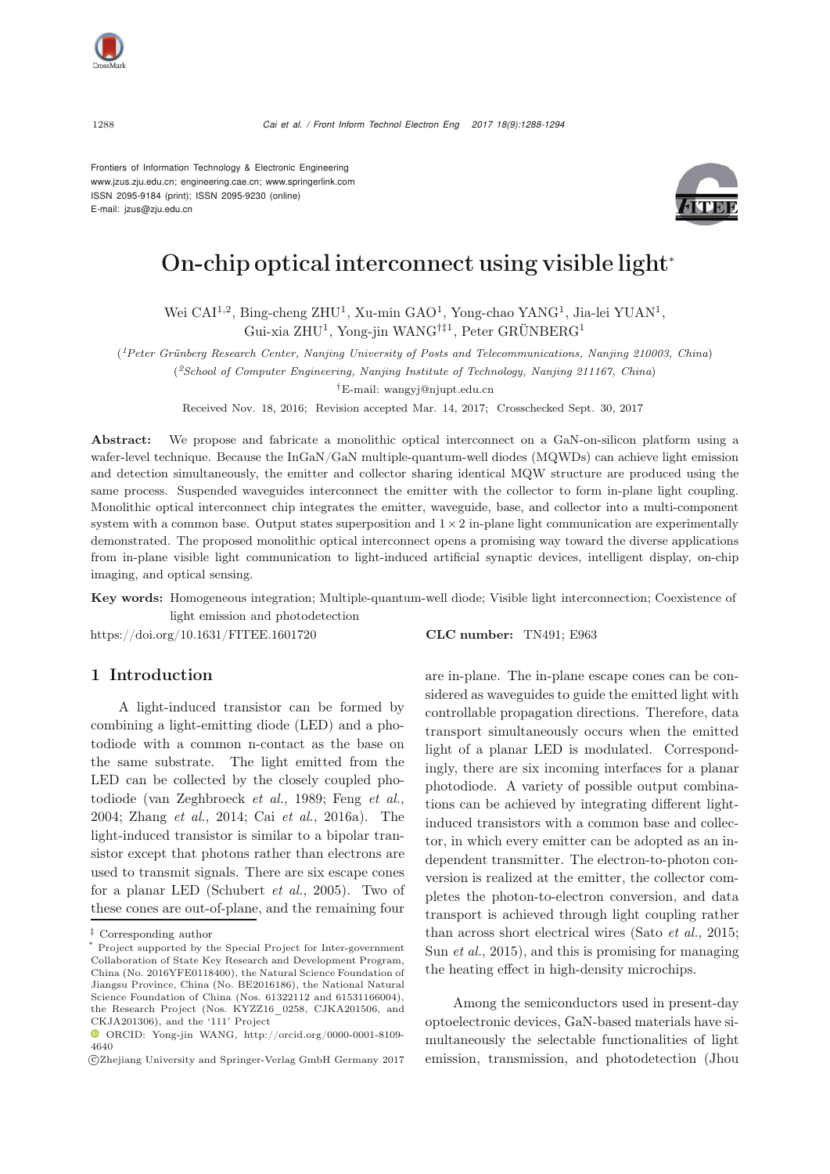<sup>1288</sup> *Cai et al. / Front Inform Technol Electron Eng 2017 18(9):1288-1294*

Frontiers of Information Technology & Electronic Engineering www.jzus.zju.edu.cn; [engineering.cae.cn;](engineering.cae.cn) www.springerlink.com ISSN 2095-9184 (print); ISSN 2095-9230 (online) E-mail: jzus@zju.edu.cn



# On-chip optical interconnect using visible light<sup>∗</sup>

Wei CAI<sup>1,2</sup>, Bing-cheng ZHU<sup>1</sup>, Xu-min GAO<sup>1</sup>, Yong-chao YANG<sup>1</sup>, Jia-lei YUAN<sup>1</sup>, Gui-xia ZHU<sup>1</sup>, Yong-jin WANG<sup>†‡1</sup>, Peter GRÜNBERG<sup>1</sup>

(*1Peter Grünberg Research Center, Nanjing University of Posts and Telecommunications, Nanjing 210003, China*)

(*2School of Computer Engineering, Nanjing Institute of Technology, Nanjing 211167, China*) *†*E-mail: wangyj@njupt.edu.cn

Received Nov. 18, 2016; Revision accepted Mar. 14, 2017; Crosschecked Sept. 30, 2017

Abstract: We propose and fabricate a monolithic optical interconnect on a GaN-on-silicon platform using a wafer-level technique. Because the InGaN/GaN multiple-quantum-well diodes (MQWDs) can achieve light emission and detection simultaneously, the emitter and collector sharing identical MQW structure are produced using the same process. Suspended waveguides interconnect the emitter with the collector to form in-plane light coupling. Monolithic optical interconnect chip integrates the emitter, waveguide, base, and collector into a multi-component system with a common base. Output states superposition and 1*×*2 in-plane light communication are experimentally demonstrated. The proposed monolithic optical interconnect opens a promising way toward the diverse applications from in-plane visible light communication to light-induced artificial synaptic devices, intelligent display, on-chip imaging, and optical sensing.

Key words: Homogeneous integration; Multiple-quantum-well diode; Visible light interconnection; Coexistence of

light emission and photodetection https://doi.org/10.1631/FITEE.1601720 CLC number: TN491; E963

## 1 Introduction

A light-induced transistor can be formed by combining a light-emitting diode (LED) and a photodiode with a common n-contact as the base on the same substrate. The light emitted from the LED can be collected by the closely coupled photodiode [\(van Zeghbroeck](#page-6-0) *et al.*, [1989](#page-6-0); Feng *[et al.](#page-5-0)*, [2004](#page-5-0); [Zhang](#page-6-1) *et al.*, [2014](#page-6-1); Cai *[et al.](#page-5-1)*, [2016a\)](#page-5-1). The light-induced transistor is similar to a bipolar transistor except that photons rather than electrons are used to transmit signals. There are six escape cones for a planar LED [\(Schubert](#page-6-2) *et al.*, [2005\)](#page-6-2). Two of these cones are out-of-plane, and the remaining four

are in-plane. The in-plane escape cones can be considered as waveguides to guide the emitted light with controllable propagation directions. Therefore, data transport simultaneously occurs when the emitted light of a planar LED is modulated. Correspondingly, there are six incoming interfaces for a planar photodiode. A variety of possible output combinations can be achieved by integrating different lightinduced transistors with a common base and collector, in which every emitter can be adopted as an independent transmitter. The electron-to-photon conversion is realized at the emitter, the collector completes the photon-to-electron conversion, and data transport is achieved through light coupling rather than across short electrical wires (Sato *[et al.](#page-5-2)*, [2015;](#page-5-2) Sun *[et al.](#page-6-3)*, [2015\)](#page-6-3), and this is promising for managing the heating effect in high-density microchips.

Among the semiconductors used in present-day optoelectronic devices, GaN-based materials have simultaneously the selectable functionalities of light emission, transmission, and photodetection (Jhou

*<sup>‡</sup>* Corresponding author

Project supported by the Special Project for Inter-government Collaboration of State Key Research and Development Program, China (No. 2016YFE0118400), the Natural Science Foundation of Jiangsu Province, China (No. BE2016186), the National Natural Science Foundation of China (Nos. 61322112 and 61531166004), the Research Project (Nos. KYZZ16\_0258, CJKA201506, and CKJA201306), and the '111' Project

 $\bullet$  ORCID: Yong-jin WANG, http://orcid.org/0000-0001-8109-4640

c Zhejiang University and Springer-Verlag GmbH Germany 2017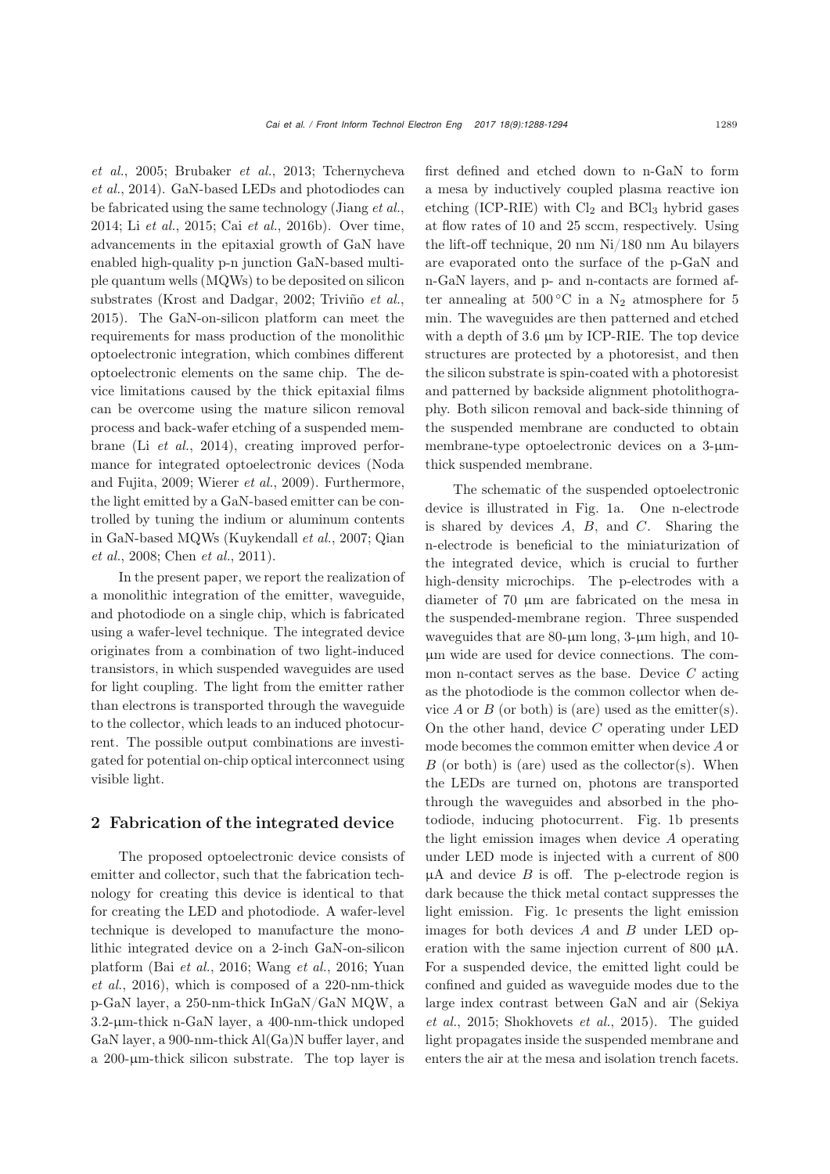*et al.*[,](#page-6-4) [2005](#page-5-3)[;](#page-6-4) [Brubaker](#page-5-4) *et al.*, [2013;](#page-5-4) Tchernycheva *et al.*, [2014](#page-6-4)). GaN-based LEDs and photodiodes can be fabricated using the same technology [\(Jiang](#page-5-5) *et al.*, [2014](#page-5-5); Li *[et al.](#page-5-6)*, [2015;](#page-5-6) Cai *[et al.](#page-5-7)*, [2016b](#page-5-7)). Over time, advancements in the epitaxial growth of GaN have enabled high-quality p-n junction GaN-based multiple quantum wells (MQWs) to be deposited on silicon substrates [\(Krost and Dadgar, 2002](#page-5-8); [Triviño](#page-6-5) *et al.*, [2015](#page-6-5)). The GaN-on-silicon platform can meet the requirements for mass production of the monolithic optoelectronic integration, which combines different optoelectronic elements on the same chip. The device limitations caused by the thick epitaxial films can be overcome using the mature silicon removal process and back-wafer etching of a suspended membrane (Li *[et al.](#page-5-9)*, [2014\)](#page-5-9), creating improved performance for [integrated](#page-5-10) [optoelectronic](#page-5-10) [devices](#page-5-10) [\(](#page-5-10)Noda and Fujita, [2009](#page-5-10); [Wierer](#page-6-6) *et al.*, [2009](#page-6-6)). Furthermore, the light emitted by a GaN-based emitter can be controlled by tuning the indium or aluminum contents in G[aN-based](#page-5-12) [MQWs](#page-5-12) [\(Kuykendall](#page-5-11) *et al.*, [2007;](#page-5-11) Qian *et al.*, [2008;](#page-5-12) [Chen](#page-5-13) *et al.*, [2011](#page-5-13)).

In the present paper, we report the realization of a monolithic integration of the emitter, waveguide, and photodiode on a single chip, which is fabricated using a wafer-level technique. The integrated device originates from a combination of two light-induced transistors, in which suspended waveguides are used for light coupling. The light from the emitter rather than electrons is transported through the waveguide to the collector, which leads to an induced photocurrent. The possible output combinations are investigated for potential on-chip optical interconnect using visible light.

### 2 Fabrication of the integrated device

The proposed optoelectronic device consists of emitter and collector, such that the fabrication technology for creating this device is identical to that for creating the LED and photodiode. A wafer-level technique is developed to manufacture the monolithic integrated device on a 2-inch GaN-on-silicon platform (Bai *[et al.](#page-5-14)*[,](#page-6-8) [2016](#page-5-14)[;](#page-6-8) [Wang](#page-6-7) *et al.*, [2016](#page-6-7); Yuan *et al.*, [2016\)](#page-6-8), which is composed of a 220-nm-thick p-GaN layer, a 250-nm-thick InGaN/GaN MQW, a 3.2-µm-thick n-GaN layer, a 400-nm-thick undoped GaN layer, a 900-nm-thick Al(Ga)N buffer layer, and a 200-µm-thick silicon substrate. The top layer is

first defined and etched down to n-GaN to form a mesa by inductively coupled plasma reactive ion etching (ICP-RIE) with  $Cl<sub>2</sub>$  and  $BCl<sub>3</sub>$  hybrid gases at flow rates of 10 and 25 sccm, respectively. Using the lift-off technique, 20 nm Ni/180 nm Au bilayers are evaporated onto the surface of the p-GaN and n-GaN layers, and p- and n-contacts are formed after annealing at  $500\,^{\circ}\text{C}$  in a N<sub>2</sub> atmosphere for 5 min. The waveguides are then patterned and etched with a depth of  $3.6 \mu m$  by ICP-RIE. The top device structures are protected by a photoresist, and then the silicon substrate is spin-coated with a photoresist and patterned by backside alignment photolithography. Both silicon removal and back-side thinning of the suspended membrane are conducted to obtain membrane-type optoelectronic devices on a 3-µmthick suspended membrane.

The schematic of the suspended optoelectronic device is illustrated in Fig. 1a. One n-electrode is shared by devices *A*, *B*, and *C*. Sharing the n-electrode is beneficial to the miniaturization of the integrated device, which is crucial to further high-density microchips. The p-electrodes with a diameter of 70 µm are fabricated on the mesa in the suspended-membrane region. Three suspended waveguides that are  $80$ - $\mu$ m long,  $3$ - $\mu$ m high, and 10µm wide are used for device connections. The common n-contact serves as the base. Device *C* acting as the photodiode is the common collector when device  $A$  or  $B$  (or both) is (are) used as the emitter(s). On the other hand, device *C* operating under LED mode becomes the common emitter when device *A* or  $B$  (or both) is (are) used as the collector(s). When the LEDs are turned on, photons are transported through the waveguides and absorbed in the photodiode, inducing photocurrent. Fig. 1b presents the light emission images when device *A* operating under LED mode is injected with a current of 800  $\mu$ A and device *B* is off. The p-electrode region is dark because the thick metal contact suppresses the light emission. Fig. 1c presents the light emission images for both devices *A* and *B* under LED operation with the same injection current of 800  $\mu$ A. For a suspended device, the emitted light could be confined and guided as waveguide modes due to the large [index](#page-6-9) [contrast](#page-6-9) [between](#page-6-9) [GaN](#page-6-9) [and](#page-6-9) [air](#page-6-9) [\(](#page-6-9)Sekiya *et al.*, [2015](#page-6-9); [Shokhovets](#page-6-10) *et al.*, [2015](#page-6-10)). The guided light propagates inside the suspended membrane and enters the air at the mesa and isolation trench facets.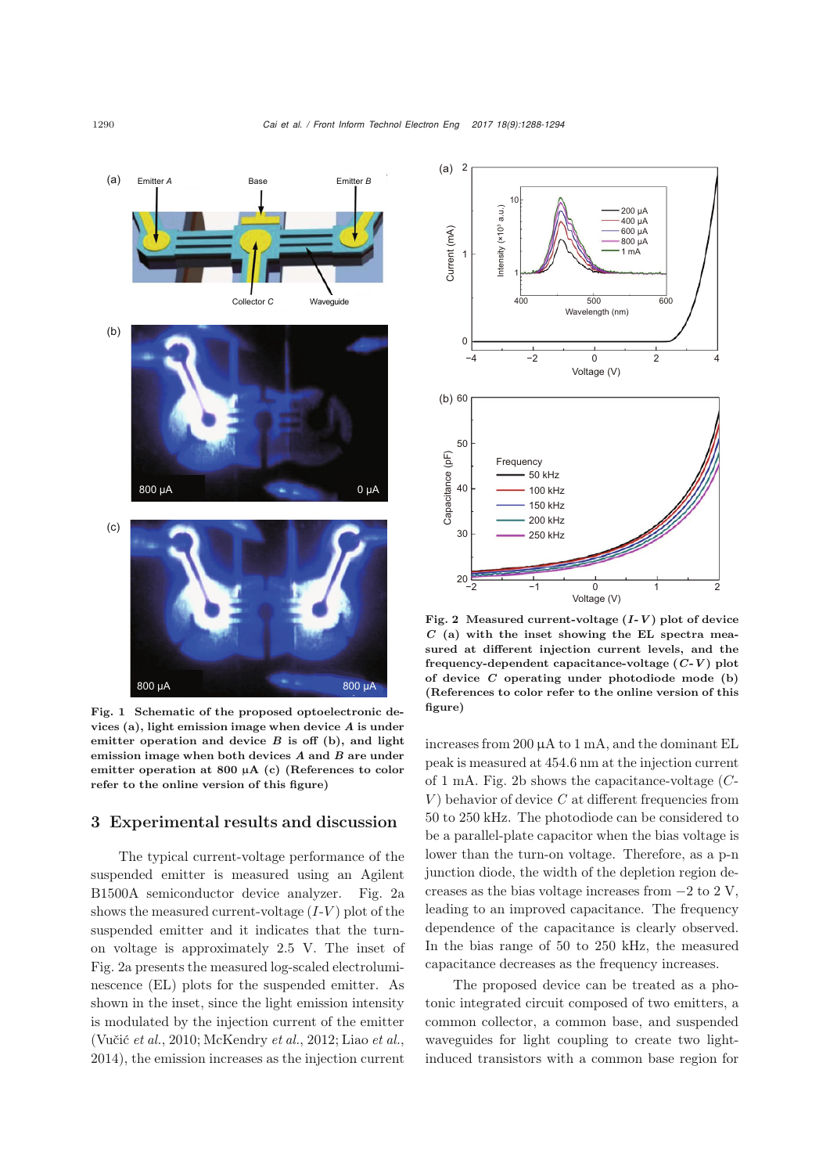

Fig. 1 Schematic of the proposed optoelectronic devices (a), light emission image when device *A* is under emitter operation and device  $B$  is off (b), and light emission image when both devices *A* and *B* are under emitter operation at 800 **µ**A (c) (References to color refer to the online version of this figure)

#### 3 Experimental results and discussion

The typical current-voltage performance of the suspended emitter is measured using an Agilent B1500A semiconductor device analyzer. Fig. 2a shows the measured current-voltage (*I*-*V* ) plot of the suspended emitter and it indicates that the turnon voltage is approximately 2.5 V. The inset of Fig. 2a presents the measured log-scaled electroluminescence (EL) plots for the suspended emitter. As shown in the inset, since the light emission intensity is modulated by the injection current of the emitter [\(Vučić](#page-6-11) *et al.*, [2010](#page-6-11); [McKendry](#page-5-15) *et al.*, [2012](#page-5-15); [Liao](#page-5-16) *et al.*, [2014](#page-5-16)), the emission increases as the injection current



Fig. 2 Measured current-voltage (*I* -*V* ) plot of device *C* (a) with the inset showing the EL spectra measured at different injection current levels, and the frequency-dependent capacitance-voltage (*C*-*V* ) plot of device *C* operating under photodiode mode (b) (References to color refer to the online version of this figure)

increases from 200 µA to 1 mA, and the dominant EL peak is measured at 454.6 nm at the injection current of 1 mA. Fig. 2b shows the capacitance-voltage (*C*-*V* ) behavior of device *C* at different frequencies from 50 to 250 kHz. The photodiode can be considered to be a parallel-plate capacitor when the bias voltage is lower than the turn-on voltage. Therefore, as a p-n junction diode, the width of the depletion region decreases as the bias voltage increases from *−*2 to 2 V, leading to an improved capacitance. The frequency dependence of the capacitance is clearly observed. In the bias range of 50 to 250 kHz, the measured capacitance decreases as the frequency increases.

The proposed device can be treated as a photonic integrated circuit composed of two emitters, a common collector, a common base, and suspended waveguides for light coupling to create two lightinduced transistors with a common base region for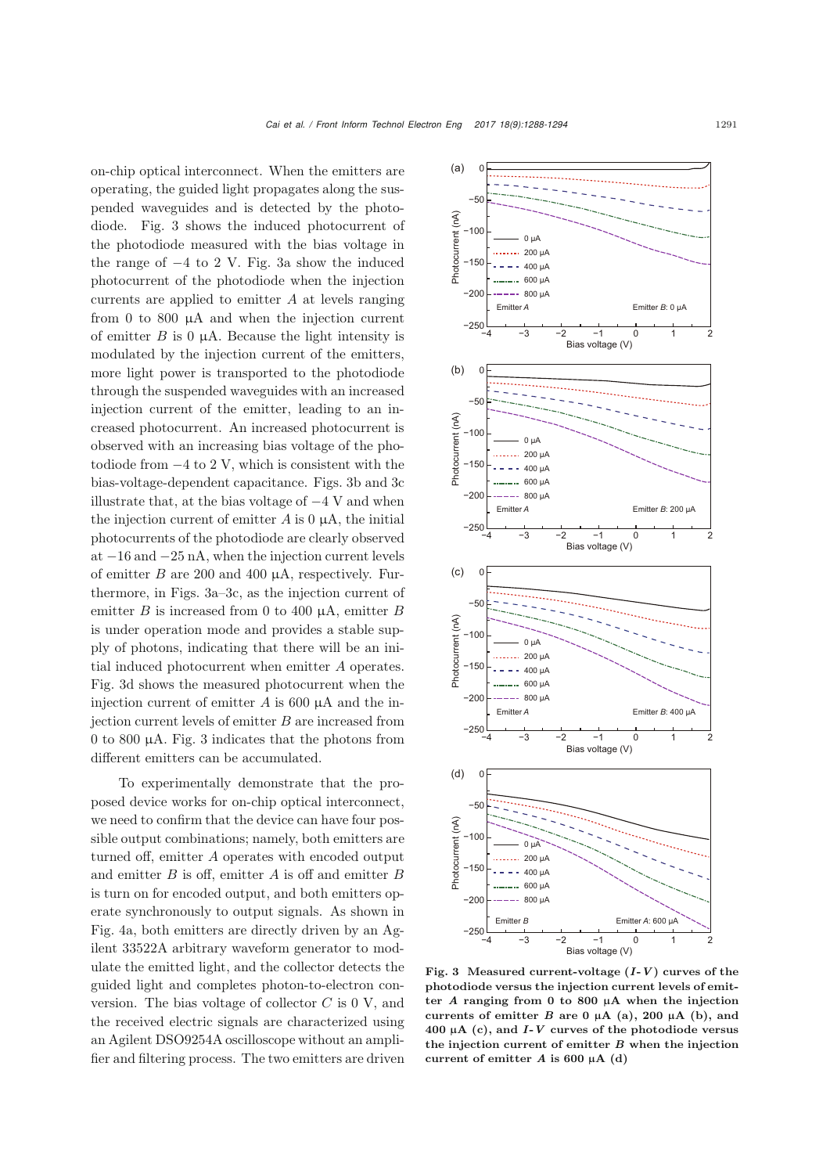on-chip optical interconnect. When the emitters are operating, the guided light propagates along the suspended waveguides and is detected by the photodiode. Fig. 3 shows the induced photocurrent of the photodiode measured with the bias voltage in the range of *−*4 to 2 V. Fig. 3a show the induced photocurrent of the photodiode when the injection currents are applied to emitter *A* at levels ranging from 0 to 800 µA and when the injection current of emitter  $B$  is 0  $\mu$ A. Because the light intensity is modulated by the injection current of the emitters, more light power is transported to the photodiode through the suspended waveguides with an increased injection current of the emitter, leading to an increased photocurrent. An increased photocurrent is observed with an increasing bias voltage of the photodiode from *−*4 to 2 V, which is consistent with the bias-voltage-dependent capacitance. Figs. 3b and 3c illustrate that, at the bias voltage of *−*4 V and when the injection current of emitter  $\vec{A}$  is  $\vec{0}$   $\mu$ A, the initial photocurrents of the photodiode are clearly observed at *−*16 and *−*25 nA, when the injection current levels of emitter  $B$  are 200 and 400  $\mu$ A, respectively. Furthermore, in Figs. 3a–3c, as the injection current of emitter *B* is increased from 0 to 400  $\mu$ A, emitter *B* is under operation mode and provides a stable supply of photons, indicating that there will be an initial induced photocurrent when emitter *A* operates. Fig. 3d shows the measured photocurrent when the injection current of emitter  $\vec{A}$  is 600  $\mu$ A and the injection current levels of emitter *B* are increased from  $0$  to 800  $\mu$ A. Fig. 3 indicates that the photons from different emitters can be accumulated.

To experimentally demonstrate that the proposed device works for on-chip optical interconnect, we need to confirm that the device can have four possible output combinations; namely, both emitters are turned off, emitter *A* operates with encoded output and emitter *B* is off, emitter *A* is off and emitter *B* is turn on for encoded output, and both emitters operate synchronously to output signals. As shown in Fig. 4a, both emitters are directly driven by an Agilent 33522A arbitrary waveform generator to modulate the emitted light, and the collector detects the guided light and completes photon-to-electron conversion. The bias voltage of collector *C* is 0 V, and the received electric signals are characterized using an Agilent DSO9254A oscilloscope without an amplifier and filtering process. The two emitters are driven



Fig. 3 Measured current-voltage  $(I-V)$  curves of the photodiode versus the injection current levels of emitter *A* ranging from 0 to 800 **µ**A when the injection currents of emitter  $B$  are  $0 \mu A$  (a), 200  $\mu A$  (b), and  $400 \mu A$  (c), and  $I-V$  curves of the photodiode versus the injection current of emitter *B* when the injection current of emitter *A* is 600 **µ**A (d)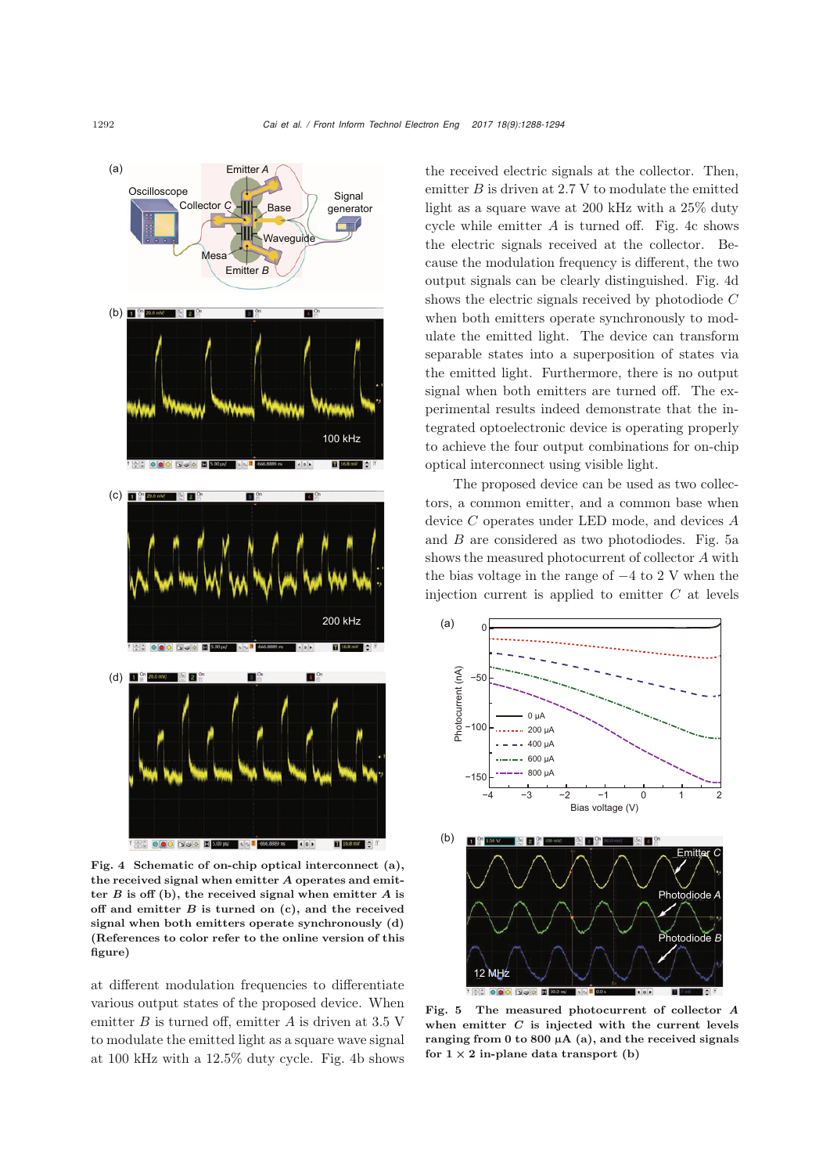

Fig. 4 Schematic of on-chip optical interconnect (a), the received signal when emitter *A* operates and emitter *B* is off (b), the received signal when emitter *A* is off and emitter  $B$  is turned on  $(c)$ , and the received signal when both emitters operate synchronously (d) (References to color refer to the online version of this figure)

at different modulation frequencies to differentiate various output states of the proposed device. When emitter *B* is turned off, emitter *A* is driven at 3.5 V to modulate the emitted light as a square wave signal at 100 kHz with a 12.5% duty cycle. Fig. 4b shows

the received electric signals at the collector. Then, emitter  $B$  is driven at 2.7 V to modulate the emitted light as a square wave at 200 kHz with a 25% duty cycle while emitter *A* is turned off. Fig. 4c shows the electric signals received at the collector. Because the modulation frequency is different, the two output signals can be clearly distinguished. Fig. 4d shows the electric signals received by photodiode *C* when both emitters operate synchronously to modulate the emitted light. The device can transform separable states into a superposition of states via the emitted light. Furthermore, there is no output signal when both emitters are turned off. The experimental results indeed demonstrate that the integrated optoelectronic device is operating properly to achieve the four output combinations for on-chip optical interconnect using visible light.

The proposed device can be used as two collectors, a common emitter, and a common base when device *C* operates under LED mode, and devices *A* and *B* are considered as two photodiodes. Fig. 5a shows the measured photocurrent of collector *A* with the bias voltage in the range of *−*4 to 2 V when the injection current is applied to emitter *C* at levels



Fig. 5 The measured photocurrent of collector *A* when emitter  $C$  is injected with the current levels ranging from 0 to 800 **µ**A (a), and the received signals for  $1 \times 2$  in-plane data transport (b)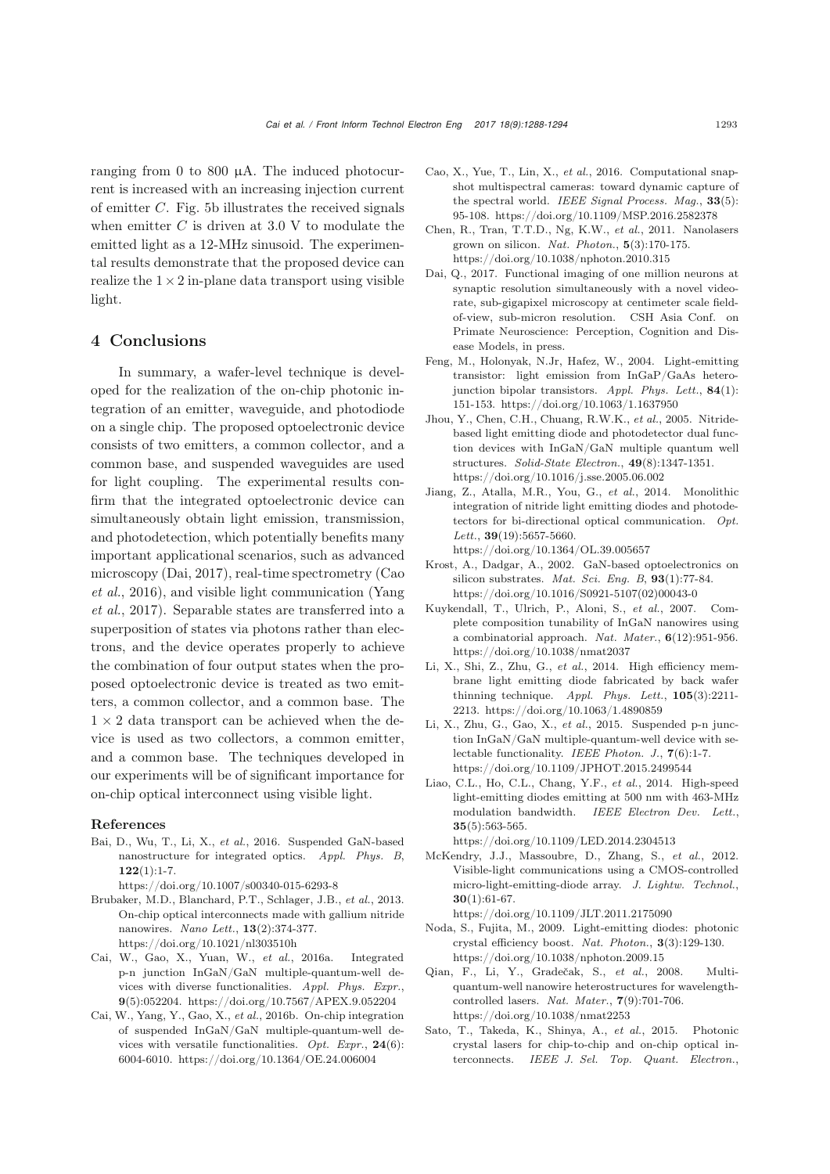ranging from 0 to 800  $\mu$ A. The induced photocurrent is increased with an increasing injection current of emitter *C*. Fig. 5b illustrates the received signals when emitter *C* is driven at 3.0 V to modulate the emitted light as a 12-MHz sinusoid. The experimental results demonstrate that the proposed device can realize the  $1 \times 2$  in-plane data transport using visible light.

#### 4 Conclusions

In summary, a wafer-level technique is developed for the realization of the on-chip photonic integration of an emitter, waveguide, and photodiode on a single chip. The proposed optoelectronic device consists of two emitters, a common collector, and a common base, and suspended waveguides are used for light coupling. The experimental results confirm that the integrated optoelectronic device can simultaneously obtain light emission, transmission, and photodetection, which potentially benefits many important applicational scenarios, such as advanced micr[oscopy](#page-5-18) [\(Dai](#page-5-17)[,](#page-5-18) [2017](#page-5-17)[\),](#page-5-18) [real-time](#page-5-18) [spectrometry](#page-5-18) [\(](#page-5-18)Cao *et al.*[,](#page-6-12) [2016](#page-5-18)[\),](#page-6-12) [and](#page-6-12) [visible](#page-6-12) [light](#page-6-12) [communication](#page-6-12) [\(](#page-6-12)Yang *et al.*, [2017](#page-6-12)). Separable states are transferred into a superposition of states via photons rather than electrons, and the device operates properly to achieve the combination of four output states when the proposed optoelectronic device is treated as two emitters, a common collector, and a common base. The 1 *×* 2 data transport can be achieved when the device is used as two collectors, a common emitter, and a common base. The techniques developed in our experiments will be of significant importance for on-chip optical interconnect using visible light.

#### References

<span id="page-5-14"></span>Bai, D., Wu, T., Li, X., *et al.*, 2016. Suspended GaN-based nanostructure for integrated optics. *Appl. Phys. B*,  $122(1):1-7.$ 

https://doi.org/10.1007/s00340-015-6293-8

- <span id="page-5-4"></span>Brubaker, M.D., Blanchard, P.T., Schlager, J.B., *et al.*, 2013. On-chip optical interconnects made with gallium nitride nanowires. *Nano Lett.*, 13(2):374-377. https://doi.org/10.1021/nl303510h
- <span id="page-5-1"></span>Cai, W., Gao, X., Yuan, W., *et al.*, 2016a. Integrated p-n junction InGaN/GaN multiple-quantum-well devices with diverse functionalities. *Appl. Phys. Expr.*, 9(5):052204. https://doi.org/10.7567/APEX.9.052204
- <span id="page-5-7"></span>Cai, W., Yang, Y., Gao, X., *et al.*, 2016b. On-chip integration of suspended InGaN/GaN multiple-quantum-well devices with versatile functionalities. *Opt. Expr.*, 24(6): 6004-6010. https://doi.org/10.1364/OE.24.006004
- <span id="page-5-18"></span>Cao, X., Yue, T., Lin, X., *et al.*, 2016. Computational snapshot multispectral cameras: toward dynamic capture of the spectral world. *IEEE Signal Process. Mag.*, 33(5): 95-108. https://doi.org/10.1109/MSP.2016.2582378
- <span id="page-5-13"></span>Chen, R., Tran, T.T.D., Ng, K.W., *et al.*, 2011. Nanolasers grown on silicon. *Nat. Photon.*, 5(3):170-175. https://doi.org/10.1038/nphoton.2010.315
- <span id="page-5-17"></span>Dai, Q., 2017. Functional imaging of one million neurons at synaptic resolution simultaneously with a novel videorate, sub-gigapixel microscopy at centimeter scale fieldof-view, sub-micron resolution. CSH Asia Conf. on Primate Neuroscience: Perception, Cognition and Disease Models, in press.
- <span id="page-5-0"></span>Feng, M., Holonyak, N.Jr, Hafez, W., 2004. Light-emitting transistor: light emission from InGaP/GaAs heterojunction bipolar transistors. *Appl. Phys. Lett.*, 84(1): 151-153. https://doi.org/10.1063/1.1637950
- <span id="page-5-3"></span>Jhou, Y., Chen, C.H., Chuang, R.W.K., *et al.*, 2005. Nitridebased light emitting diode and photodetector dual function devices with InGaN/GaN multiple quantum well structures. *Solid-State Electron.*, 49(8):1347-1351. https://doi.org/10.1016/j.sse.2005.06.002
- <span id="page-5-5"></span>Jiang, Z., Atalla, M.R., You, G., *et al.*, 2014. Monolithic integration of nitride light emitting diodes and photodetectors for bi-directional optical communication. *Opt. Lett.*, 39(19):5657-5660.

https://doi.org/10.1364/OL.39.005657

- <span id="page-5-8"></span>Krost, A., Dadgar, A., 2002. GaN-based optoelectronics on silicon substrates. *Mat. Sci. Eng. B*, 93(1):77-84. https://doi.org/10.1016/S0921-5107(02)00043-0
- <span id="page-5-11"></span>Kuykendall, T., Ulrich, P., Aloni, S., *et al.*, 2007. Complete composition tunability of InGaN nanowires using a combinatorial approach. *Nat. Mater.*, 6(12):951-956. https://doi.org/10.1038/nmat2037
- <span id="page-5-9"></span>Li, X., Shi, Z., Zhu, G., *et al.*, 2014. High efficiency membrane light emitting diode fabricated by back wafer thinning technique. *Appl. Phys. Lett.*, 105(3):2211- 2213. https://doi.org/10.1063/1.4890859
- <span id="page-5-6"></span>Li, X., Zhu, G., Gao, X., *et al.*, 2015. Suspended p-n junction InGaN/GaN multiple-quantum-well device with selectable functionality. *IEEE Photon. J.*, 7(6):1-7. https://doi.org/10.1109/JPHOT.2015.2499544
- <span id="page-5-16"></span>Liao, C.L., Ho, C.L., Chang, Y.F., *et al.*, 2014. High-speed light-emitting diodes emitting at 500 nm with 463-MHz modulation bandwidth. *IEEE Electron Dev. Lett.*, 35(5):563-565.

https://doi.org/10.1109/LED.2014.2304513

<span id="page-5-15"></span>McKendry, J.J., Massoubre, D., Zhang, S., *et al.*, 2012. Visible-light communications using a CMOS-controlled micro-light-emitting-diode array. *J. Lightw. Technol.*,  $30(1):61-67.$ 

https://doi.org/10.1109/JLT.2011.2175090

- <span id="page-5-10"></span>Noda, S., Fujita, M., 2009. Light-emitting diodes: photonic crystal efficiency boost. *Nat. Photon.*, 3(3):129-130. https://doi.org/10.1038/nphoton.2009.15
- <span id="page-5-12"></span>Qian, F., Li, Y., Gradečak, S., *et al.*, 2008. Multiquantum-well nanowire heterostructures for wavelengthcontrolled lasers. *Nat. Mater.*, 7(9):701-706. https://doi.org/10.1038/nmat2253
- <span id="page-5-2"></span>Sato, T., Takeda, K., Shinya, A., *et al.*, 2015. Photonic crystal lasers for chip-to-chip and on-chip optical interconnects. *IEEE J. Sel. Top. Quant. Electron.*,